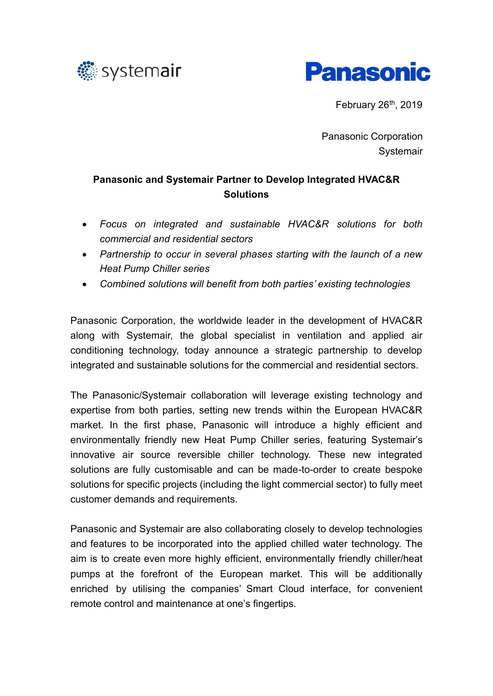



February  $26<sup>th</sup>$ , 2019

Panasonic Corporation **Systemair** 

# **Panasonic and Systemair Partner to Develop Integrated HVAC&R Solutions**

- *Focus on integrated and sustainable HVAC&R solutions for both commercial and residential sectors*
- *Partnership to occur in several phases starting with the launch of a new Heat Pump Chiller series*
- *Combined solutions will benefit from both parties' existing technologies*

Panasonic Corporation, the worldwide leader in the development of HVAC&R along with Systemair, the global specialist in ventilation and applied air conditioning technology, today announce a strategic partnership to develop integrated and sustainable solutions for the commercial and residential sectors.

The Panasonic/Systemair collaboration will leverage existing technology and expertise from both parties, setting new trends within the European HVAC&R market. In the first phase, Panasonic will introduce a highly efficient and environmentally friendly new Heat Pump Chiller series, featuring Systemair's innovative air source reversible chiller technology. These new integrated solutions are fully customisable and can be made-to-order to create bespoke solutions for specific projects (including the light commercial sector) to fully meet customer demands and requirements.

Panasonic and Systemair are also collaborating closely to develop technologies and features to be incorporated into the applied chilled water technology. The aim is to create even more highly efficient, environmentally friendly chiller/heat pumps at the forefront of the European market. This will be additionally enriched by utilising the companies' Smart Cloud interface, for convenient remote control and maintenance at one's fingertips.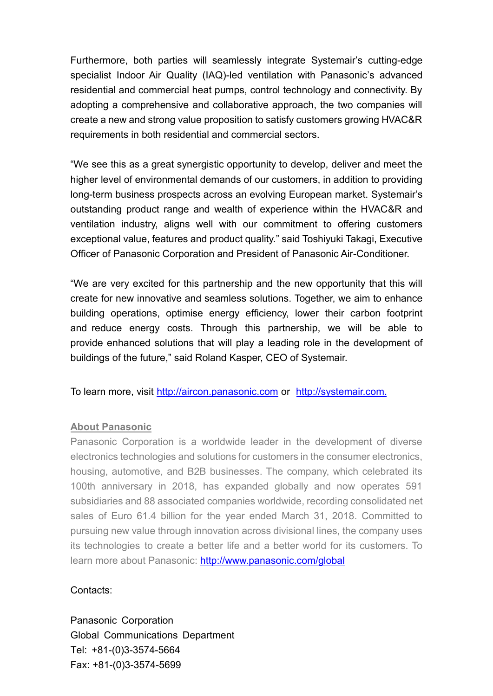Furthermore, both parties will seamlessly integrate Systemair's cutting-edge specialist Indoor Air Quality (IAQ)-led ventilation with Panasonic's advanced residential and commercial heat pumps, control technology and connectivity. By adopting a comprehensive and collaborative approach, the two companies will create a new and strong value proposition to satisfy customers growing HVAC&R requirements in both residential and commercial sectors.

"We see this as a great synergistic opportunity to develop, deliver and meet the higher level of environmental demands of our customers, in addition to providing long-term business prospects across an evolving European market. Systemair's outstanding product range and wealth of experience within the HVAC&R and ventilation industry, aligns well with our commitment to offering customers exceptional value, features and product quality." said Toshiyuki Takagi, Executive Officer of Panasonic Corporation and President of Panasonic Air-Conditioner.

"We are very excited for this partnership and the new opportunity that this will create for new innovative and seamless solutions. Together, we aim to enhance building operations, optimise energy efficiency, lower their carbon footprint and reduce energy costs. Through this partnership, we will be able to provide enhanced solutions that will play a leading role in the development of buildings of the future," said Roland Kasper, CEO of Systemair.

To learn more, visit [http://aircon.panasonic.com](http://aircon.panasonic.com/) or http://systemair.com.

### **About Panasonic**

Panasonic Corporation is a worldwide leader in the development of diverse electronics technologies and solutions for customers in the consumer electronics, housing, automotive, and B2B businesses. The company, which celebrated its 100th anniversary in 2018, has expanded globally and now operates 591 subsidiaries and 88 associated companies worldwide, recording consolidated net sales of Euro 61.4 billion for the year ended March 31, 2018. Committed to pursuing new value through innovation across divisional lines, the company uses its technologies to create a better life and a better world for its customers. To learn more about Panasonic: [http://www.panasonic.com/g](http://www.panasonic.com/global)lobal

### Contacts:

Panasonic Corporation Global Communications Department Tel: +81-(0)3-3574-5664 Fax: +81-(0)3-3574-5699